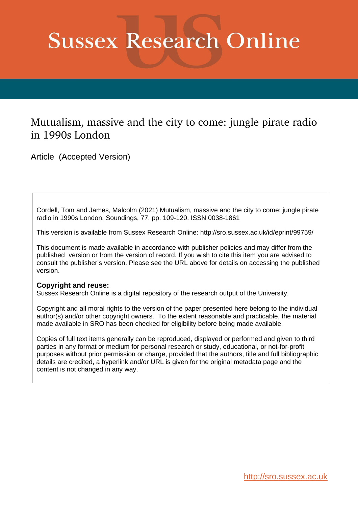# **Sussex Research Online**

# Mutualism, massive and the city to come: jungle pirate radio in 1990s London

Article (Accepted Version)

Cordell, Tom and James, Malcolm (2021) Mutualism, massive and the city to come: jungle pirate radio in 1990s London. Soundings, 77. pp. 109-120. ISSN 0038-1861

This version is available from Sussex Research Online: http://sro.sussex.ac.uk/id/eprint/99759/

This document is made available in accordance with publisher policies and may differ from the published version or from the version of record. If you wish to cite this item you are advised to consult the publisher's version. Please see the URL above for details on accessing the published version.

# **Copyright and reuse:**

Sussex Research Online is a digital repository of the research output of the University.

Copyright and all moral rights to the version of the paper presented here belong to the individual author(s) and/or other copyright owners. To the extent reasonable and practicable, the material made available in SRO has been checked for eligibility before being made available.

Copies of full text items generally can be reproduced, displayed or performed and given to third parties in any format or medium for personal research or study, educational, or not-for-profit purposes without prior permission or charge, provided that the authors, title and full bibliographic details are credited, a hyperlink and/or URL is given for the original metadata page and the content is not changed in any way.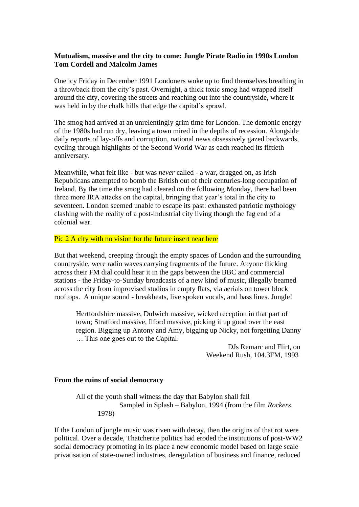# **Mutualism, massive and the city to come: Jungle Pirate Radio in 1990s London Tom Cordell and Malcolm James**

One icy Friday in December 1991 Londoners woke up to find themselves breathing in a throwback from the city's past. Overnight, a thick toxic smog had wrapped itself around the city, covering the streets and reaching out into the countryside, where it was held in by the chalk hills that edge the capital's sprawl.

The smog had arrived at an unrelentingly grim time for London. The demonic energy of the 1980s had run dry, leaving a town mired in the depths of recession. Alongside daily reports of lay-offs and corruption, national news obsessively gazed backwards, cycling through highlights of the Second World War as each reached its fiftieth anniversary.

Meanwhile, what felt like - but was *never* called - a war, dragged on, as Irish Republicans attempted to bomb the British out of their centuries-long occupation of Ireland. By the time the smog had cleared on the following Monday, there had been three more IRA attacks on the capital, bringing that year's total in the city to seventeen. London seemed unable to escape its past: exhausted patriotic mythology clashing with the reality of a post-industrial city living though the fag end of a colonial war.

#### Pic 2 A city with no vision for the future insert near here

But that weekend, creeping through the empty spaces of London and the surrounding countryside, were radio waves carrying fragments of the future. Anyone flicking across their FM dial could hear it in the gaps between the BBC and commercial stations - the Friday-to-Sunday broadcasts of a new kind of music, illegally beamed across the city from improvised studios in empty flats, via aerials on tower block rooftops. A unique sound - breakbeats, live spoken vocals, and bass lines. Jungle!

Hertfordshire massive, Dulwich massive, wicked reception in that part of town; Stratford massive, Ilford massive, picking it up good over the east region. Bigging up Antony and Amy, bigging up Nicky, not forgetting Danny … This one goes out to the Capital.

> DJs Remarc and Flirt, on Weekend Rush, 104.3FM, 1993

#### **From the ruins of social democracy**

All of the youth shall witness the day that Babylon shall fall Sampled in Splash – Babylon, 1994 (from the film *Rockers*, 1978)

If the London of jungle music was riven with decay, then the origins of that rot were political. Over a decade, Thatcherite politics had eroded the institutions of post-WW2 social democracy promoting in its place a new economic model based on large scale privatisation of state-owned industries, deregulation of business and finance, reduced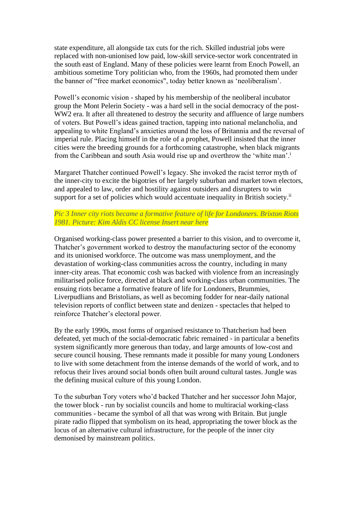state expenditure, all alongside tax cuts for the rich. Skilled industrial jobs were replaced with non-unionised low paid, low-skill service-sector work concentrated in the south east of England. Many of these policies were learnt from Enoch Powell, an ambitious sometime Tory politician who, from the 1960s, had promoted them under the banner of "free market economics", today better known as 'neoliberalism'.

Powell's economic vision - shaped by his membership of the neoliberal incubator group the Mont Pelerin Society - was a hard sell in the social democracy of the post-WW2 era. It after all threatened to destroy the security and affluence of large numbers of voters. But Powell's ideas gained traction, tapping into national melancholia, and appealing to white England's anxieties around the loss of Britannia and the reversal of imperial rule. Placing himself in the role of a prophet, Powell insisted that the inner cities were the breeding grounds for a forthcoming catastrophe, when black migrants from the Caribbean and south Asia would rise up and overthrow the 'white man'.<sup>i</sup>

Margaret Thatcher continued Powell's legacy. She invoked the racist terror myth of the inner-city to excite the bigotries of her largely suburban and market town electors, and appealed to law, order and hostility against outsiders and disrupters to win support for a set of policies which would accentuate inequality in British society.<sup>ii</sup>

# *Pic 3 Inner city riots became a formative feature of life for Londoners. Brixton Riots 1981. Picture: Kim Aldis CC license Insert near here*

Organised working-class power presented a barrier to this vision, and to overcome it, Thatcher's government worked to destroy the manufacturing sector of the economy and its unionised workforce. The outcome was mass unemployment, and the devastation of working-class communities across the country, including in many inner-city areas. That economic cosh was backed with violence from an increasingly militarised police force, directed at black and working-class urban communities. The ensuing riots became a formative feature of life for Londoners, Brummies, Liverpudlians and Bristolians, as well as becoming fodder for near-daily national television reports of conflict between state and denizen - spectacles that helped to reinforce Thatcher's electoral power.

By the early 1990s, most forms of organised resistance to Thatcherism had been defeated, yet much of the social-democratic fabric remained - in particular a benefits system significantly more generous than today, and large amounts of low-cost and secure council housing. These remnants made it possible for many young Londoners to live with some detachment from the intense demands of the world of work, and to refocus their lives around social bonds often built around cultural tastes. Jungle was the defining musical culture of this young London.

To the suburban Tory voters who'd backed Thatcher and her successor John Major, the tower block - run by socialist councils and home to multiracial working-class communities - became the symbol of all that was wrong with Britain. But jungle pirate radio flipped that symbolism on its head, appropriating the tower block as the locus of an alternative cultural infrastructure, for the people of the inner city demonised by mainstream politics.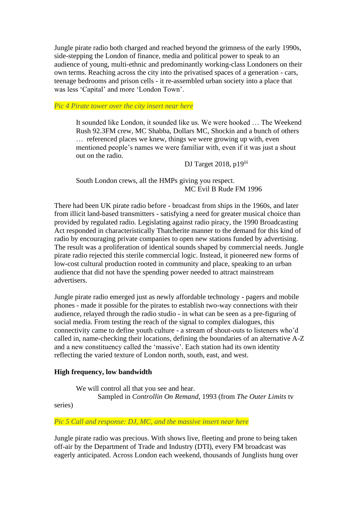Jungle pirate radio both charged and reached beyond the grimness of the early 1990s, side-stepping the London of finance, media and political power to speak to an audience of young, multi-ethnic and predominantly working-class Londoners on their own terms. Reaching across the city into the privatised spaces of a generation - cars, teenage bedrooms and prison cells - it re-assembled urban society into a place that was less 'Capital' and more 'London Town'.

*Pic 4 Pirate tower over the city insert near here*

It sounded like London, it sounded like us. We were hooked … The Weekend Rush 92.3FM crew, MC Shabba, Dollars MC, Shockin and a bunch of others … referenced places we knew, things we were growing up with, even mentioned people's names we were familiar with, even if it was just a shout out on the radio.

DJ Target 2018, p19iii

South London crews, all the HMPs giving you respect. MC Evil B Rude FM 1996

There had been UK pirate radio before - broadcast from ships in the 1960s, and later from illicit land-based transmitters - satisfying a need for greater musical choice than provided by regulated radio. Legislating against radio piracy, the 1990 Broadcasting Act responded in characteristically Thatcherite manner to the demand for this kind of radio by encouraging private companies to open new stations funded by advertising. The result was a proliferation of identical sounds shaped by commercial needs. Jungle pirate radio rejected this sterile commercial logic. Instead, it pioneered new forms of low-cost cultural production rooted in community and place, speaking to an urban audience that did not have the spending power needed to attract mainstream advertisers.

Jungle pirate radio emerged just as newly affordable technology - pagers and mobile phones - made it possible for the pirates to establish two-way connections with their audience, relayed through the radio studio - in what can be seen as a pre-figuring of social media. From testing the reach of the signal to complex dialogues, this connectivity came to define youth culture - a stream of shout-outs to listeners who'd called in, name-checking their locations, defining the boundaries of an alternative A-Z and a new constituency called the 'massive'. Each station had its own identity reflecting the varied texture of London north, south, east, and west.

#### **High frequency, low bandwidth**

We will control all that you see and hear. Sampled in *Controllin On Remand*, 1993 (from *The Outer Limits* tv

series)

*Pic 5 Call and response: DJ, MC, and the massive insert near here*

Jungle pirate radio was precious. With shows live, fleeting and prone to being taken off-air by the Department of Trade and Industry (DTI), every FM broadcast was eagerly anticipated. Across London each weekend, thousands of Junglists hung over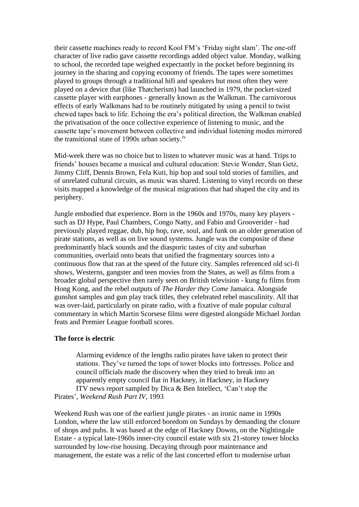their cassette machines ready to record Kool FM's 'Friday night slam'. The one-off character of live radio gave cassette recordings added object value. Monday, walking to school, the recorded tape weighed expectantly in the pocket before beginning its journey in the sharing and copying economy of friends. The tapes were sometimes played to groups through a traditional hifi and speakers but most often they were played on a device that (like Thatcherism) had launched in 1979, the pocket-sized cassette player with earphones - generally known as the Walkman. The carnivorous effects of early Walkmans had to be routinely mitigated by using a pencil to twist chewed tapes back to life. Echoing the era's political direction, the Walkman enabled the privatisation of the once collective experience of listening to music, and the cassette tape's movement between collective and individual listening modes mirrored the transitional state of 1990s urban society.iv

Mid-week there was no choice but to listen to whatever music was at hand. Trips to friends' houses became a musical and cultural education: Stevie Wonder, Stan Getz, Jimmy Cliff, Dennis Brown, Fela Kuti, hip hop and soul told stories of families, and of unrelated cultural circuits, as music was shared. Listening to vinyl records on these visits mapped a knowledge of the musical migrations that had shaped the city and its periphery.

Jungle embodied that experience. Born in the 1960s and 1970s, many key players such as DJ Hype, Paul Chambers, Congo Natty, and Fabio and Grooverider - had previously played reggae, dub, hip hop, rave, soul, and funk on an older generation of pirate stations, as well as on live sound systems. Jungle was the composite of these predominantly black sounds and the diasporic tastes of city and suburban communities, overlaid onto beats that unified the fragmentary sources into a continuous flow that ran at the speed of the future city. Samples referenced old sci-fi shows, Westerns, gangster and teen movies from the States, as well as films from a broader global perspective then rarely seen on British television - kung fu films from Hong Kong, and the rebel outputs of *The Harder they Come* Jamaica. Alongside gunshot samples and gun play track titles, they celebrated rebel masculinity. All that was over-laid, particularly on pirate radio, with a fixative of male popular cultural commentary in which Martin Scorsese films were digested alongside Michael Jordan feats and Premier League football scores.

#### **The force is electric**

Alarming evidence of the lengths radio pirates have taken to protect their stations. They've turned the tops of tower blocks into fortresses. Police and council officials made the discovery when they tried to break into an apparently empty council flat in Hackney, in Hackney, in Hackney ITV news report sampled by Dica & Ben Intellect, 'Can't stop the Pirates', *Weekend Rush Part IV*, 1993

Weekend Rush was one of the earliest jungle pirates - an ironic name in 1990s London, where the law still enforced boredom on Sundays by demanding the closure of shops and pubs. It was based at the edge of Hackney Downs, on the Nightingale Estate - a typical late-1960s inner-city council estate with six 21-storey tower blocks surrounded by low-rise housing. Decaying through poor maintenance and management, the estate was a relic of the last concerted effort to modernise urban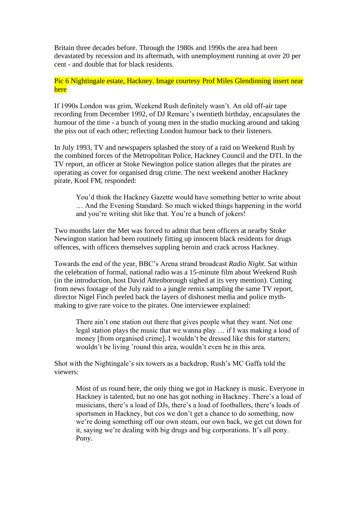Britain three decades before. Through the 1980s and 1990s the area had been devastated by recession and its aftermath, with unemployment running at over 20 per cent - and double that for black residents.

# Pic 6 Nightingale estate, Hackney. Image courtesy Prof Miles Glendinning insert near here

If 1990s London was grim, Weekend Rush definitely wasn't. An old off-air tape recording from December 1992, of DJ Remarc's twentieth birthday, encapsulates the humour of the time - a bunch of young men in the studio mucking around and taking the piss out of each other; reflecting London humour back to their listeners.

In July 1993, TV and newspapers splashed the story of a raid on Weekend Rush by the combined forces of the Metropolitan Police, Hackney Council and the DTI. In the TV report, an officer at Stoke Newington police station alleges that the pirates are operating as cover for organised drug crime. The next weekend another Hackney pirate, Kool FM, responded:

You'd think the Hackney Gazette would have something better to write about … And the Evening Standard. So much wicked things happening in the world and you're writing shit like that. You're a bunch of jokers!

Two months later the Met was forced to admit that bent officers at nearby Stoke Newington station had been routinely fitting up innocent black residents for drugs offences, with officers themselves suppling heroin and crack across Hackney.

Towards the end of the year, BBC's Arena strand broadcast *Radio Night*. Sat within the celebration of formal, national radio was a 15-minute film about Weekend Rush (in the introduction, host David Attenborough sighed at its very mention). Cutting from news footage of the July raid to a jungle remix sampling the same TV report, director Nigel Finch peeled back the layers of dishonest media and police mythmaking to give rare voice to the pirates. One interviewee explained:

There ain't one station out there that gives people what they want. Not one legal station plays the music that we wanna play … if I was making a load of money [from organised crime], I wouldn't be dressed like this for starters; wouldn't be living 'round this area, wouldn't even be in this area.

Shot with the Nightingale's six towers as a backdrop, Rush's MC Gaffa told the viewers:

Most of us round here, the only thing we got in Hackney is music. Everyone in Hackney is talented, but no one has got nothing in Hackney. There's a load of musicians, there's a load of DJs, there's a load of footballers, there's loads of sportsmen in Hackney, but cos we don't get a chance to do something, now we're doing something off our own steam, our own back, we get cut down for it, saying we're dealing with big drugs and big corporations. It's all pony. Pony.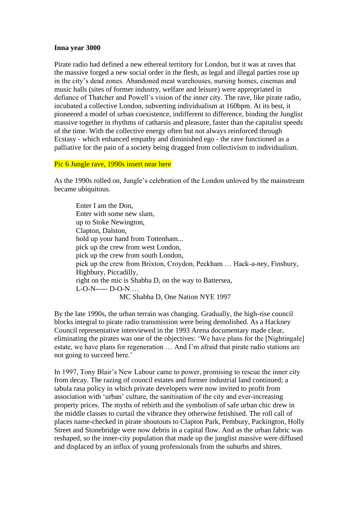#### **Inna year 3000**

Pirate radio had defined a new ethereal territory for London, but it was at raves that the massive forged a new social order in the flesh, as legal and illegal parties rose up in the city's dead zones. Abandoned meat warehouses, nursing homes, cinemas and music halls (sites of former industry, welfare and leisure) were appropriated in defiance of Thatcher and Powell's vision of the inner city. The rave, like pirate radio, incubated a collective London, subverting individualism at 160bpm. At its best, it pioneered a model of urban coexistence, indifferent to difference, binding the Junglist massive together in rhythms of catharsis and pleasure, faster than the capitalist speeds of the time. With the collective energy often but not always reinforced through Ecstasy - which enhanced empathy and diminished ego - the rave functioned as a palliative for the pain of a society being dragged from collectivism to individualism.

#### Pic 6 Jungle rave, 1990s insert near here

As the 1990s rolled on, Jungle's celebration of the London unloved by the mainstream became ubiquitous.

Enter I am the Don, Enter with some new slam, up to Stoke Newington, Clapton, Dalston, hold up your hand from Tottenham... pick up the crew from west London, pick up the crew from south London, pick up the crew from Brixton, Croydon, Peckham … Hack-a-ney, Finsbury, Highbury, Piccadilly, right on the mic is Shabba D, on the way to Battersea, L-O-N----- D-O-N … MC Shabba D, One Nation NYE 1997

By the late 1990s, the urban terrain was changing. Gradually, the high-rise council blocks integral to pirate radio transmission were being demolished. As a Hackney Council representative interviewed in the 1993 Arena documentary made clear, eliminating the pirates was one of the objectives: 'We have plans for the [Nightingale] estate, we have plans for regeneration … And I'm afraid that pirate radio stations are not going to succeed here.'

In 1997, Tony Blair's New Labour came to power, promising to rescue the inner city from decay. The razing of council estates and former industrial land continued; a tabula rasa policy in which private developers were now invited to profit from association with 'urban' culture, the sanitisation of the city and ever-increasing property prices. The myths of rebirth and the symbolism of safe urban chic drew in the middle classes to curtail the vibrance they otherwise fetishised. The roll call of places name-checked in pirate shoutouts to Clapton Park, Pembury, Packington, Holly Street and Stonebridge were now debris in a capital flow. And as the urban fabric was reshaped, so the inner-city population that made up the junglist massive were diffused and displaced by an influx of young professionals from the suburbs and shires.